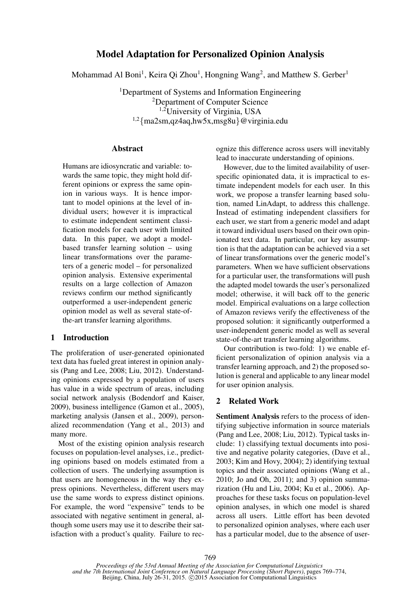# Model Adaptation for Personalized Opinion Analysis

Mohammad Al Boni<sup>1</sup>, Keira Qi Zhou<sup>1</sup>, Hongning Wang<sup>2</sup>, and Matthew S. Gerber<sup>1</sup>

<sup>1</sup>Department of Systems and Information Engineering <sup>2</sup>Department of Computer Science 1,2University of Virginia, USA 1,2{ma2sm,qz4aq,hw5x,msg8u}@virginia.edu

### Abstract

Humans are idiosyncratic and variable: towards the same topic, they might hold different opinions or express the same opinion in various ways. It is hence important to model opinions at the level of individual users; however it is impractical to estimate independent sentiment classification models for each user with limited data. In this paper, we adopt a modelbased transfer learning solution – using linear transformations over the parameters of a generic model – for personalized opinion analysis. Extensive experimental results on a large collection of Amazon reviews confirm our method significantly outperformed a user-independent generic opinion model as well as several state-ofthe-art transfer learning algorithms.

## 1 Introduction

The proliferation of user-generated opinionated text data has fueled great interest in opinion analysis (Pang and Lee, 2008; Liu, 2012). Understanding opinions expressed by a population of users has value in a wide spectrum of areas, including social network analysis (Bodendorf and Kaiser, 2009), business intelligence (Gamon et al., 2005), marketing analysis (Jansen et al., 2009), personalized recommendation (Yang et al., 2013) and many more.

Most of the existing opinion analysis research focuses on population-level analyses, i.e., predicting opinions based on models estimated from a collection of users. The underlying assumption is that users are homogeneous in the way they express opinions. Nevertheless, different users may use the same words to express distinct opinions. For example, the word "expensive" tends to be associated with negative sentiment in general, although some users may use it to describe their satisfaction with a product's quality. Failure to rec-

ognize this difference across users will inevitably lead to inaccurate understanding of opinions.

However, due to the limited availability of userspecific opinionated data, it is impractical to estimate independent models for each user. In this work, we propose a transfer learning based solution, named LinAdapt, to address this challenge. Instead of estimating independent classifiers for each user, we start from a generic model and adapt it toward individual users based on their own opinionated text data. In particular, our key assumption is that the adaptation can be achieved via a set of linear transformations over the generic model's parameters. When we have sufficient observations for a particular user, the transformations will push the adapted model towards the user's personalized model; otherwise, it will back off to the generic model. Empirical evaluations on a large collection of Amazon reviews verify the effectiveness of the proposed solution: it significantly outperformed a user-independent generic model as well as several state-of-the-art transfer learning algorithms.

Our contribution is two-fold: 1) we enable efficient personalization of opinion analysis via a transfer learning approach, and 2) the proposed solution is general and applicable to any linear model for user opinion analysis.

### 2 Related Work

Sentiment Analysis refers to the process of identifying subjective information in source materials (Pang and Lee, 2008; Liu, 2012). Typical tasks include: 1) classifying textual documents into positive and negative polarity categories, (Dave et al., 2003; Kim and Hovy, 2004); 2) identifying textual topics and their associated opinions (Wang et al., 2010; Jo and Oh, 2011); and 3) opinion summarization (Hu and Liu, 2004; Ku et al., 2006). Approaches for these tasks focus on population-level opinion analyses, in which one model is shared across all users. Little effort has been devoted to personalized opinion analyses, where each user has a particular model, due to the absence of user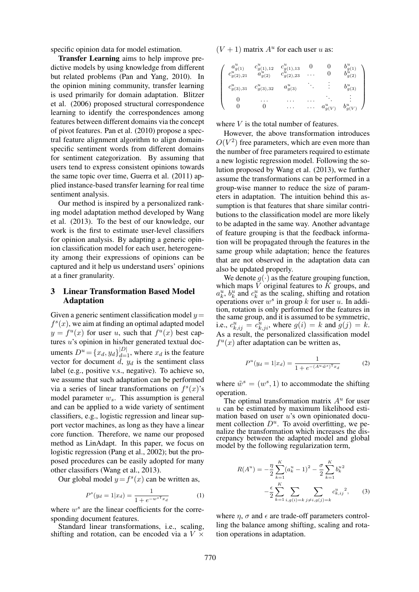specific opinion data for model estimation.

Transfer Learning aims to help improve predictive models by using knowledge from different but related problems (Pan and Yang, 2010). In the opinion mining community, transfer learning is used primarily for domain adaptation. Blitzer et al. (2006) proposed structural correspondence learning to identify the correspondences among features between different domains via the concept of pivot features. Pan et al. (2010) propose a spectral feature alignment algorithm to align domainspecific sentiment words from different domains for sentiment categorization. By assuming that users tend to express consistent opinions towards the same topic over time, Guerra et al. (2011) applied instance-based transfer learning for real time sentiment analysis.

Our method is inspired by a personalized ranking model adaptation method developed by Wang et al. (2013). To the best of our knowledge, our work is the first to estimate user-level classifiers for opinion analysis. By adapting a generic opinion classification model for each user, heterogeneity among their expressions of opinions can be captured and it help us understand users' opinions at a finer granularity.

# 3 Linear Transformation Based Model Adaptation

Given a generic sentiment classification model  $y=$  $f<sup>s</sup>(x)$ , we aim at finding an optimal adapted model  $y = f^u(x)$  for user u, such that  $f^u(x)$  best captures u's opinion in his/her generated textual documents  $D^u = \{x_d, y_d\}_{d=1}^{|D|}$ , where  $x_d$  is the feature vector for document  $\tilde{d}$ ,  $y_d$  is the sentiment class label (e.g., positive v.s., negative). To achieve so, we assume that such adaptation can be performed via a series of linear transformations on  $f<sup>s</sup>(x)$ 's model parameter  $w_s$ . This assumption is general and can be applied to a wide variety of sentiment classifiers, e.g., logistic regression and linear support vector machines, as long as they have a linear core function. Therefore, we name our proposed method as LinAdapt. In this paper, we focus on logistic regression (Pang et al., 2002); but the proposed procedures can be easily adopted for many other classifiers (Wang et al., 2013).

Our global model  $y = f<sup>s</sup>(x)$  can be written as,

$$
P^{s}(y_{d}=1|x_{d}) = \frac{1}{1 + e^{-w^{sT}x_{d}}}
$$
 (1)

where  $w^s$  are the linear coefficients for the corresponding document features.

Standard linear transformations, i.e., scaling, shifting and rotation, can be encoded via a  $V \times$ 

 $(V + 1)$  matrix  $A<sup>u</sup>$  for each user u as:

| $a_{q(1)}^{\sigma}$<br>$c_{g(2),21}^u$ | $c_{g(1),12}^u$<br>$a_{g(2)}^u$ | $c_{g(1),13}^u\ c_{g(2),23}^u$ |                  | g(2)         |
|----------------------------------------|---------------------------------|--------------------------------|------------------|--------------|
| $c_{g(3),31}^u$                        | $c_{g(3),32}^u$                 | $a_{g(3)}^u$                   |                  | $b_{g(3)}^u$ |
|                                        |                                 |                                | $a^{\mu}_{g(V)}$ | g(V)         |

where  $V$  is the total number of features.

However, the above transformation introduces  $O(V^2)$  free parameters, which are even more than the number of free parameters required to estimate a new logistic regression model. Following the solution proposed by Wang et al. (2013), we further assume the transformations can be performed in a group-wise manner to reduce the size of parameters in adaptation. The intuition behind this assumption is that features that share similar contributions to the classification model are more likely to be adapted in the same way. Another advantage of feature grouping is that the feedback information will be propagated through the features in the same group while adaptation; hence the features that are not observed in the adaptation data can also be updated properly.

We denote  $g(\cdot)$  as the feature grouping function, which maps  $V$  original features to  $K$  groups, and  $a_k^u$ ,  $b_k^u$  and  $c_k^u$  as the scaling, shifting and rotation operations over  $w^s$  in group k for user u. In addition, rotation is only performed for the features in the same group, and it is assumed to be symmetric, i.e.,  $c_{k,ij}^u = c_{k,ji}^{\hat{u}}$ , where  $g(i) = k$  and  $g(j) = k$ . As a result, the personalized classification model  $f^{u}(x)$  after adaptation can be written as,

$$
P^{u}(y_{d}=1|x_{d}) = \frac{1}{1 + e^{-(A^{u}\tilde{w}^{s})^{T}x_{d}}}
$$
 (2)

where  $\tilde{w}^s = (w^s, 1)$  to accommodate the shifting operation.

The optimal transformation matrix  $A<sup>u</sup>$  for user  $u$  can be estimated by maximum likelihood estimation based on user  $u$ 's own opinionated document collection  $D^u$ . To avoid overfitting, we penalize the transformation which increases the discrepancy between the adapted model and global model by the following regularization term,

$$
R(A^{u}) = -\frac{\eta}{2} \sum_{k=1}^{K} (a_{k}^{u} - 1)^{2} - \frac{\sigma}{2} \sum_{k=1}^{K} b_{k}^{u} \newline - \frac{\epsilon}{2} \sum_{k=1}^{K} \sum_{i,g(i)=k} \sum_{j \neq i,g(j)=k} c_{k,ij}^{u}^{2},
$$
 (3)

where  $\eta$ ,  $\sigma$  and  $\epsilon$  are trade-off parameters controlling the balance among shifting, scaling and rotation operations in adaptation.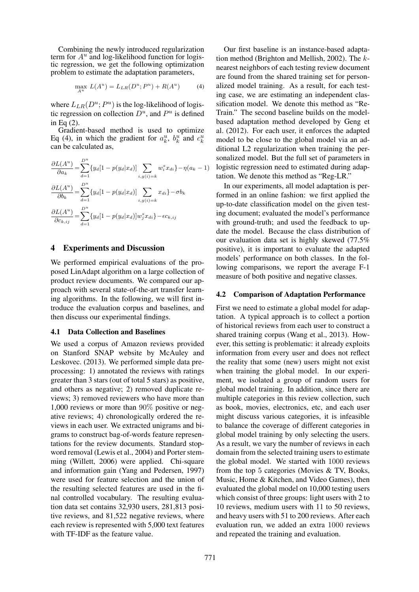Combining the newly introduced regularization term for  $A^u$  and log-likelihood function for logistic regression, we get the following optimization problem to estimate the adaptation parameters,

$$
\max_{A^u} L(A^u) = L_{LR}(D^u; P^u) + R(A^u) \tag{4}
$$

where  $L_{LR}(D^u; P^u)$  is the log-likelihood of logistic regression on collection  $D^u$ , and  $P^u$  is defined in Eq (2).

Gradient-based method is used to optimize Eq (4), in which the gradient for  $a_k^u$ ,  $b_k^u$  and  $c_k^u$ can be calculated as,

$$
\frac{\partial L(A^u)}{\partial a_k} = \sum_{d=1}^{D^u} \{y_d[1 - p(y_d|x_d)] \sum_{i,g(i)=k} w_i^s x_{di}\} - \eta(a_k - 1)
$$

$$
\frac{\partial L(A^u)}{\partial b_k} = \sum_{d=1}^{D^u} \{y_d[1 - p(y_d|x_d)] \sum_{i,g(i)=k} x_{di}\} - \sigma b_k
$$

$$
\frac{\partial L(A^u)}{\partial c_{k,ij}} = \sum_{d=1}^{D^u} \{y_d[1 - p(y_d|x_d)] w_j^s x_{di}\} - \epsilon c_{k,ij}
$$

### 4 Experiments and Discussion

We performed empirical evaluations of the proposed LinAdapt algorithm on a large collection of product review documents. We compared our approach with several state-of-the-art transfer learning algorithms. In the following, we will first introduce the evaluation corpus and baselines, and then discuss our experimental findings.

#### 4.1 Data Collection and Baselines

We used a corpus of Amazon reviews provided on Stanford SNAP website by McAuley and Leskovec. (2013). We performed simple data preprocessing: 1) annotated the reviews with ratings greater than 3 stars (out of total 5 stars) as positive, and others as negative; 2) removed duplicate reviews; 3) removed reviewers who have more than 1,000 reviews or more than 90% positive or negative reviews; 4) chronologically ordered the reviews in each user. We extracted unigrams and bigrams to construct bag-of-words feature representations for the review documents. Standard stopword removal (Lewis et al., 2004) and Porter stemming (Willett, 2006) were applied. Chi-square and information gain (Yang and Pedersen, 1997) were used for feature selection and the union of the resulting selected features are used in the final controlled vocabulary. The resulting evaluation data set contains 32,930 users, 281,813 positive reviews, and 81,522 negative reviews, where each review is represented with 5,000 text features with TF-IDF as the feature value.

Our first baseline is an instance-based adaptation method (Brighton and Mellish, 2002). The knearest neighbors of each testing review document are found from the shared training set for personalized model training. As a result, for each testing case, we are estimating an independent classification model. We denote this method as "Re-Train." The second baseline builds on the modelbased adaptation method developed by Geng et al. (2012). For each user, it enforces the adapted model to be close to the global model via an additional L2 regularization when training the personalized model. But the full set of parameters in logistic regression need to estimated during adaptation. We denote this method as "Reg-LR."

In our experiments, all model adaptation is performed in an online fashion: we first applied the up-to-date classification model on the given testing document; evaluated the model's performance with ground-truth; and used the feedback to update the model. Because the class distribution of our evaluation data set is highly skewed (77.5% positive), it is important to evaluate the adapted models' performance on both classes. In the following comparisons, we report the average F-1 measure of both positive and negative classes.

#### 4.2 Comparison of Adaptation Performance

First we need to estimate a global model for adaptation. A typical approach is to collect a portion of historical reviews from each user to construct a shared training corpus (Wang et al., 2013). However, this setting is problematic: it already exploits information from every user and does not reflect the reality that some (new) users might not exist when training the global model. In our experiment, we isolated a group of random users for global model training. In addition, since there are multiple categories in this review collection, such as book, movies, electronics, etc, and each user might discuss various categories, it is infeasible to balance the coverage of different categories in global model training by only selecting the users. As a result, we vary the number of reviews in each domain from the selected training users to estimate the global model. We started with 1000 reviews from the top 5 categories (Movies & TV, Books, Music, Home & Kitchen, and Video Games), then evaluated the global model on 10,000 testing users which consist of three groups: light users with 2 to 10 reviews, medium users with 11 to 50 reviews, and heavy users with 51 to 200 reviews. After each evaluation run, we added an extra 1000 reviews and repeated the training and evaluation.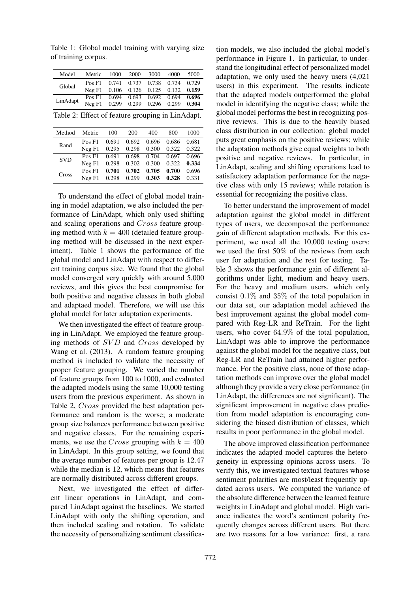Table 1: Global model training with varying size of training corpus.

| Model                                            | Metric 1000 2000 3000                |  |  |  | 4000 | 5000 |
|--------------------------------------------------|--------------------------------------|--|--|--|------|------|
| Global                                           | Pos F1 0.741 0.737 0.738 0.734 0.729 |  |  |  |      |      |
|                                                  | Neg F1 0.106 0.126 0.125 0.132 0.159 |  |  |  |      |      |
|                                                  | Pos F1 0.694 0.693 0.692 0.694 0.696 |  |  |  |      |      |
| LinAdapt                                         | Neg F1 0.299 0.299 0.296 0.299 0.304 |  |  |  |      |      |
| Table 2: Effect of feature grouping in LinAdapt. |                                      |  |  |  |      |      |

| Method     | Metric | 100   | 200   | 400         | 800   | 1000  |
|------------|--------|-------|-------|-------------|-------|-------|
|            | Pos F1 | 0.691 | 0.692 | 0.696       | 0.686 | 0.681 |
| Rand       | NeqF1  | 0.295 |       | 0.298 0.300 | 0.322 | 0.322 |
| <b>SVD</b> | Pos F1 | 0.691 | 0.698 | 0.704       | 0.697 | 0.696 |
|            | NeqF1  | 0.298 | 0.302 | 0.300       | 0.322 | 0.334 |
| Cross      | Pos F1 | 0.701 | 0.702 | 0.705       | 0.700 | 0.696 |
|            | NeqF1  | 0.298 | 0.299 | 0.303       | 0.328 | 0.331 |

To understand the effect of global model training in model adaptation, we also included the performance of LinAdapt, which only used shifting and scaling operations and Cross feature grouping method with  $k = 400$  (detailed feature grouping method will be discussed in the next experiment). Table 1 shows the performance of the global model and LinAdapt with respect to different training corpus size. We found that the global model converged very quickly with around 5,000 reviews, and this gives the best compromise for both positive and negative classes in both global and adaptaed model. Therefore, we will use this global model for later adaptation experiments.

We then investigated the effect of feature grouping in LinAdapt. We employed the feature grouping methods of SVD and Cross developed by Wang et al. (2013). A random feature grouping method is included to validate the necessity of proper feature grouping. We varied the number of feature groups from 100 to 1000, and evaluated the adapted models using the same 10,000 testing users from the previous experiment. As shown in Table 2, Cross provided the best adaptation performance and random is the worse; a moderate group size balances performance between positive and negative classes. For the remaining experiments, we use the Cross grouping with  $k = 400$ in LinAdapt. In this group setting, we found that the average number of features per group is 12.47 while the median is 12, which means that features are normally distributed across different groups.

Next, we investigated the effect of different linear operations in LinAdapt, and compared LinAdapt against the baselines. We started LinAdapt with only the shifting operation, and then included scaling and rotation. To validate the necessity of personalizing sentiment classifica-

tion models, we also included the global model's performance in Figure 1. In particular, to understand the longitudinal effect of personalized model adaptation, we only used the heavy users (4,021 users) in this experiment. The results indicate that the adapted models outperformed the global model in identifying the negative class; while the global model performs the best in recognizing positive reviews. This is due to the heavily biased class distribution in our collection: global model puts great emphasis on the positive reviews; while the adaptation methods give equal weights to both positive and negative reviews. In particular, in LinAdapt, scaling and shifting operations lead to satisfactory adaptation performance for the negative class with only 15 reviews; while rotation is essential for recognizing the positive class.

To better understand the improvement of model adaptation against the global model in different types of users, we decomposed the performance gain of different adaptation methods. For this experiment, we used all the 10,000 testing users: we used the first 50% of the reviews from each user for adaptation and the rest for testing. Table 3 shows the performance gain of different algorithms under light, medium and heavy users. For the heavy and medium users, which only consist 0.1% and 35% of the total population in our data set, our adaptation model achieved the best improvement against the global model compared with Reg-LR and ReTrain. For the light users, who cover 64.9% of the total population, LinAdapt was able to improve the performance against the global model for the negative class, but Reg-LR and ReTrain had attained higher performance. For the positive class, none of those adaptation methods can improve over the global model although they provide a very close performance (in LinAdapt, the differences are not significant). The significant improvement in negative class prediction from model adaptation is encouraging considering the biased distribution of classes, which results in poor performance in the global model.

The above improved classification performance indicates the adapted model captures the heterogeneity in expressing opinions across users. To verify this, we investigated textual features whose sentiment polarities are most/least frequently updated across users. We computed the variance of the absolute difference between the learned feature weights in LinAdapt and global model. High variance indicates the word's sentiment polarity frequently changes across different users. But there are two reasons for a low variance: first, a rare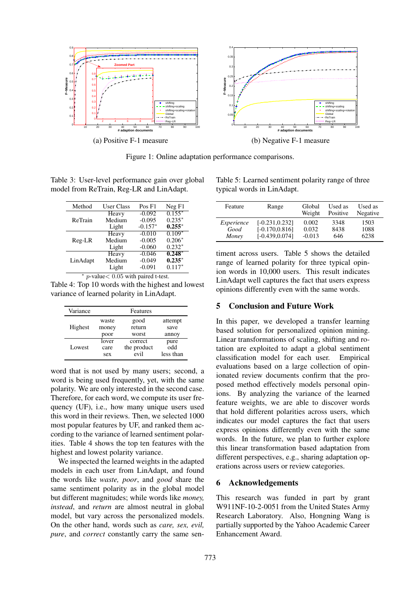

Figure 1: Online adaptation performance comparisons.

Table 3: User-level performance gain over global model from ReTrain, Reg-LR and LinAdapt.

| Method   | User Class | Pos F1    | Neg F1   |
|----------|------------|-----------|----------|
|          | Heavy      | $-0.092$  | $0.155*$ |
| ReTrain  | Medium     | $-0.095$  | $0.235*$ |
|          | Light      | $-0.157*$ | $0.255*$ |
|          | Heavy      | $-0.010$  | $0.109*$ |
| Reg-LR   | Medium     | $-0.005$  | $0.206*$ |
|          | Light      | $-0.060$  | $0.232*$ |
|          | Heavy      | $-0.046$  | $0.248*$ |
| LinAdapt | Medium     | $-0.049$  | $0.235*$ |
|          | Light      | $-0.091$  | $0.117*$ |

∗  $p$ -value $< 0.05$  with paired t-test.

Table 4: Top 10 words with the highest and lowest variance of learned polarity in LinAdapt.

| Variance |       | Features    |           |
|----------|-------|-------------|-----------|
|          | waste | good        | attempt   |
| Highest  | money | return      | save      |
|          | poor  | worst       | annoy     |
|          | lover | correct     | pure      |
| Lowest   | care  | the product | odd       |
|          | sex   | evil        | less than |

word that is not used by many users; second, a word is being used frequently, yet, with the same polarity. We are only interested in the second case. Therefore, for each word, we compute its user frequency (UF), i.e., how many unique users used this word in their reviews. Then, we selected 1000 most popular features by UF, and ranked them according to the variance of learned sentiment polarities. Table 4 shows the top ten features with the highest and lowest polarity variance.

We inspected the learned weights in the adapted models in each user from LinAdapt, and found the words like *waste, poor*, and *good* share the same sentiment polarity as in the global model but different magnitudes; while words like *money, instead*, and *return* are almost neutral in global model, but vary across the personalized models. On the other hand, words such as *care, sex, evil, pure*, and *correct* constantly carry the same sen-

Table 5: Learned sentiment polarity range of three typical words in LinAdapt.

| Feature    | Range             | Global<br>Weight | Used as<br>Positive | Used as<br>Negative |
|------------|-------------------|------------------|---------------------|---------------------|
| Experience | $[-0.231, 0.232]$ | 0.002            | 3348                | 1503                |
| Good       | $[-0.170, 0.816]$ | 0.032            | 8438                | 1088                |
| Money      | $[-0.439, 0.074]$ | $-0.013$         | 646                 | 6238                |

timent across users. Table 5 shows the detailed range of learned polarity for three typical opinion words in 10,000 users. This result indicates LinAdapt well captures the fact that users express opinions differently even with the same words.

### 5 Conclusion and Future Work

In this paper, we developed a transfer learning based solution for personalized opinion mining. Linear transformations of scaling, shifting and rotation are exploited to adapt a global sentiment classification model for each user. Empirical evaluations based on a large collection of opinionated review documents confirm that the proposed method effectively models personal opinions. By analyzing the variance of the learned feature weights, we are able to discover words that hold different polarities across users, which indicates our model captures the fact that users express opinions differently even with the same words. In the future, we plan to further explore this linear transformation based adaptation from different perspectives, e.g., sharing adaptation operations across users or review categories.

### 6 Acknowledgements

This research was funded in part by grant W911NF-10-2-0051 from the United States Army Research Laboratory. Also, Hongning Wang is partially supported by the Yahoo Academic Career Enhancement Award.